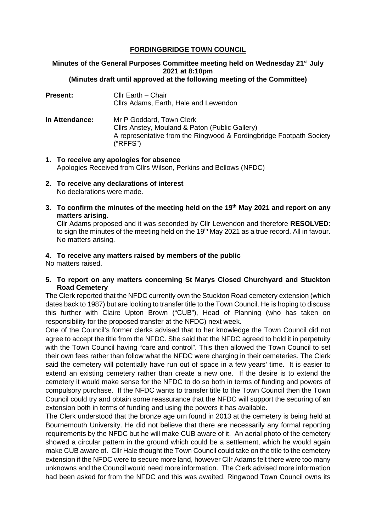# **FORDINGBRIDGE TOWN COUNCIL**

#### **Minutes of the General Purposes Committee meeting held on Wednesday 21st July 2021 at 8:10pm (Minutes draft until approved at the following meeting of the Committee)**

- **Present:** Cllr Earth Chair Cllrs Adams, Earth, Hale and Lewendon
- **In Attendance:** Mr P Goddard, Town Clerk Cllrs Anstey, Mouland & Paton (Public Gallery) A representative from the Ringwood & Fordingbridge Footpath Society ("RFFS")
- **1. To receive any apologies for absence** Apologies Received from Cllrs Wilson, Perkins and Bellows (NFDC)
- **2. To receive any declarations of interest** No declarations were made.
- **3. To confirm the minutes of the meeting held on the 19th May 2021 and report on any matters arising.**

Cllr Adams proposed and it was seconded by Cllr Lewendon and therefore **RESOLVED**: to sign the minutes of the meeting held on the 19<sup>th</sup> May 2021 as a true record. All in favour. No matters arising.

# **4. To receive any matters raised by members of the public**

No matters raised.

**5. To report on any matters concerning St Marys Closed Churchyard and Stuckton Road Cemetery**

The Clerk reported that the NFDC currently own the Stuckton Road cemetery extension (which dates back to 1987) but are looking to transfer title to the Town Council. He is hoping to discuss this further with Claire Upton Brown ("CUB"), Head of Planning (who has taken on responsibility for the proposed transfer at the NFDC) next week.

One of the Council's former clerks advised that to her knowledge the Town Council did not agree to accept the title from the NFDC. She said that the NFDC agreed to hold it in perpetuity with the Town Council having "care and control". This then allowed the Town Council to set their own fees rather than follow what the NFDC were charging in their cemeteries. The Clerk said the cemetery will potentially have run out of space in a few years' time. It is easier to extend an existing cemetery rather than create a new one. If the desire is to extend the cemetery it would make sense for the NFDC to do so both in terms of funding and powers of compulsory purchase. If the NFDC wants to transfer title to the Town Council then the Town Council could try and obtain some reassurance that the NFDC will support the securing of an extension both in terms of funding and using the powers it has available.

The Clerk understood that the bronze age urn found in 2013 at the cemetery is being held at Bournemouth University. He did not believe that there are necessarily any formal reporting requirements by the NFDC but he will make CUB aware of it. An aerial photo of the cemetery showed a circular pattern in the ground which could be a settlement, which he would again make CUB aware of. Cllr Hale thought the Town Council could take on the title to the cemetery extension if the NFDC were to secure more land, however Cllr Adams felt there were too many unknowns and the Council would need more information. The Clerk advised more information had been asked for from the NFDC and this was awaited. Ringwood Town Council owns its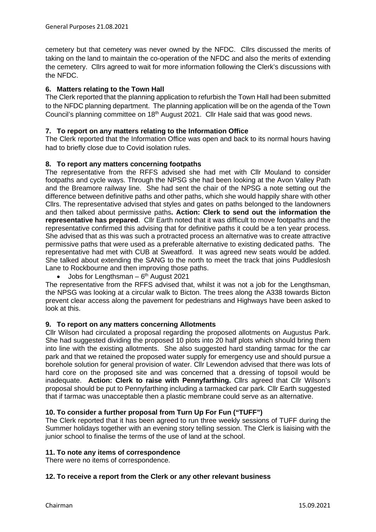cemetery but that cemetery was never owned by the NFDC. Cllrs discussed the merits of taking on the land to maintain the co-operation of the NFDC and also the merits of extending the cemetery. Cllrs agreed to wait for more information following the Clerk's discussions with the NFDC.

## **6. Matters relating to the Town Hall**

The Clerk reported that the planning application to refurbish the Town Hall had been submitted to the NFDC planning department. The planning application will be on the agenda of the Town Council's planning committee on 18<sup>th</sup> August 2021. Cllr Hale said that was good news.

### **7. To report on any matters relating to the Information Office**

The Clerk reported that the Information Office was open and back to its normal hours having had to briefly close due to Covid isolation rules.

### **8. To report any matters concerning footpaths**

The representative from the RFFS advised she had met with Cllr Mouland to consider footpaths and cycle ways. Through the NPSG she had been looking at the Avon Valley Path and the Breamore railway line. She had sent the chair of the NPSG a note setting out the difference between definitive paths and other paths, which she would happily share with other Cllrs. The representative advised that styles and gates on paths belonged to the landowners and then talked about permissive paths**. Action: Clerk to send out the information the representative has prepared**. Cllr Earth noted that it was difficult to move footpaths and the representative confirmed this advising that for definitive paths it could be a ten year process. She advised that as this was such a protracted process an alternative was to create attractive permissive paths that were used as a preferable alternative to existing dedicated paths. The representative had met with CUB at Sweatford. It was agreed new seats would be added. She talked about extending the SANG to the north to meet the track that joins Puddleslosh Lane to Rockbourne and then improving those paths.

Jobs for Lengthsman  $-6<sup>th</sup>$  August 2021

The representative from the RFFS advised that, whilst it was not a job for the Lengthsman, the NPSG was looking at a circular walk to Bicton. The trees along the A338 towards Bicton prevent clear access along the pavement for pedestrians and Highways have been asked to look at this.

### **9. To report on any matters concerning Allotments**

Cllr Wilson had circulated a proposal regarding the proposed allotments on Augustus Park. She had suggested dividing the proposed 10 plots into 20 half plots which should bring them into line with the existing allotments. She also suggested hard standing tarmac for the car park and that we retained the proposed water supply for emergency use and should pursue a borehole solution for general provision of water. Cllr Lewendon advised that there was lots of hard core on the proposed site and was concerned that a dressing of topsoil would be inadequate. **Action: Clerk to raise with Pennyfarthing.** Cllrs agreed that Cllr Wilson's proposal should be put to Pennyfarthing including a tarmacked car park. Cllr Earth suggested that if tarmac was unacceptable then a plastic membrane could serve as an alternative.

### **10. To consider a further proposal from Turn Up For Fun ("TUFF")**

The Clerk reported that it has been agreed to run three weekly sessions of TUFF during the Summer holidays together with an evening story telling session. The Clerk is liaising with the junior school to finalise the terms of the use of land at the school.

#### **11. To note any items of correspondence**

There were no items of correspondence.

#### **12. To receive a report from the Clerk or any other relevant business**